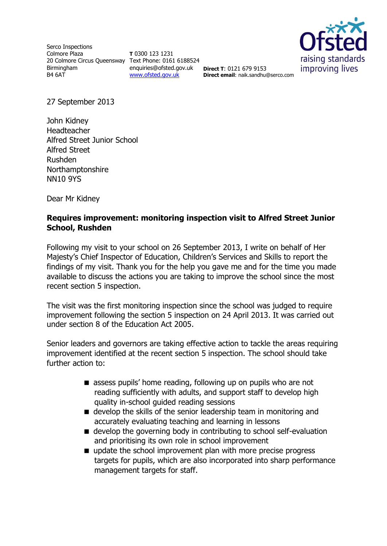Serco Inspections Colmore Plaza 20 Colmore Circus Queensway Text Phone: 0161 6188524 Birmingham B4 6AT

**T** 0300 123 1231 enquiries@ofsted.gov.uk **Direct T**: 0121 679 9153 [www.ofsted.gov.uk](http://www.ofsted.gov.uk/)



**Direct email**: naik.sandhu@serco.com

27 September 2013

John Kidney Headteacher Alfred Street Junior School Alfred Street Rushden Northamptonshire NN10 9YS

Dear Mr Kidney

# **Requires improvement: monitoring inspection visit to Alfred Street Junior School, Rushden**

Following my visit to your school on 26 September 2013, I write on behalf of Her Majesty's Chief Inspector of Education, Children's Services and Skills to report the findings of my visit. Thank you for the help you gave me and for the time you made available to discuss the actions you are taking to improve the school since the most recent section 5 inspection.

The visit was the first monitoring inspection since the school was judged to require improvement following the section 5 inspection on 24 April 2013. It was carried out under section 8 of the Education Act 2005.

Senior leaders and governors are taking effective action to tackle the areas requiring improvement identified at the recent section 5 inspection. The school should take further action to:

- **E** assess pupils' home reading, following up on pupils who are not reading sufficiently with adults, and support staff to develop high quality in-school guided reading sessions
- $\blacksquare$  develop the skills of the senior leadership team in monitoring and accurately evaluating teaching and learning in lessons
- develop the governing body in contributing to school self-evaluation and prioritising its own role in school improvement
- update the school improvement plan with more precise progress targets for pupils, which are also incorporated into sharp performance management targets for staff.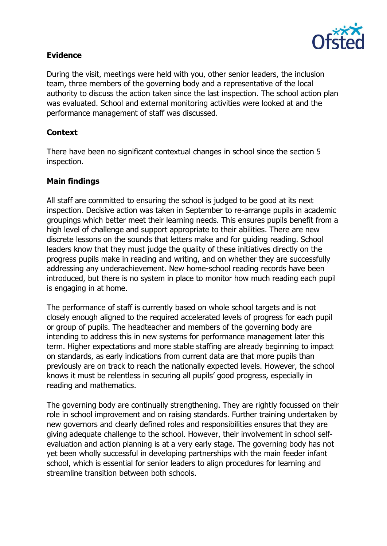

## **Evidence**

During the visit, meetings were held with you, other senior leaders, the inclusion team, three members of the governing body and a representative of the local authority to discuss the action taken since the last inspection. The school action plan was evaluated. School and external monitoring activities were looked at and the performance management of staff was discussed.

# **Context**

There have been no significant contextual changes in school since the section 5 inspection.

# **Main findings**

All staff are committed to ensuring the school is judged to be good at its next inspection. Decisive action was taken in September to re-arrange pupils in academic groupings which better meet their learning needs. This ensures pupils benefit from a high level of challenge and support appropriate to their abilities. There are new discrete lessons on the sounds that letters make and for guiding reading. School leaders know that they must judge the quality of these initiatives directly on the progress pupils make in reading and writing, and on whether they are successfully addressing any underachievement. New home-school reading records have been introduced, but there is no system in place to monitor how much reading each pupil is engaging in at home.

The performance of staff is currently based on whole school targets and is not closely enough aligned to the required accelerated levels of progress for each pupil or group of pupils. The headteacher and members of the governing body are intending to address this in new systems for performance management later this term. Higher expectations and more stable staffing are already beginning to impact on standards, as early indications from current data are that more pupils than previously are on track to reach the nationally expected levels. However, the school knows it must be relentless in securing all pupils' good progress, especially in reading and mathematics.

The governing body are continually strengthening. They are rightly focussed on their role in school improvement and on raising standards. Further training undertaken by new governors and clearly defined roles and responsibilities ensures that they are giving adequate challenge to the school. However, their involvement in school selfevaluation and action planning is at a very early stage. The governing body has not yet been wholly successful in developing partnerships with the main feeder infant school, which is essential for senior leaders to align procedures for learning and streamline transition between both schools.